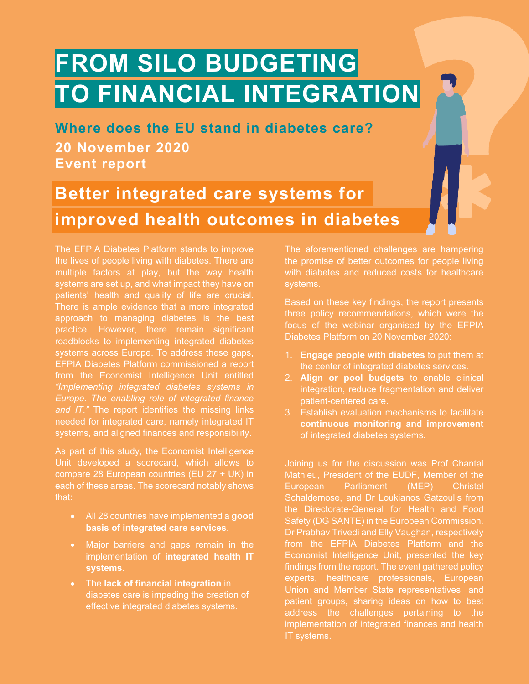# **FROM SILO BUDGETING TO FINANCIAL INTEGRATION**

**Where does the EU stand in diabetes care? 20 November 2020 Event report**

## **Better integrated care systems for improved health outcomes in diabetes**

The EFPIA Diabetes Platform stands to improve the lives of people living with diabetes. There are multiple factors at play, but the way health systems are set up, and what impact they have on patients' health and quality of life are crucial. There is ample evidence that a more integrated approach to managing diabetes is the best practice. However, there remain significant roadblocks to implementing integrated diabetes systems across Europe. To address these gaps, EFPIA Diabetes Platform commissioned a report from the Economist Intelligence Unit entitled *"Implementing integrated diabetes systems in Europe. The enabling role of integrated finance and IT."* The report identifies the missing links needed for integrated care, namely integrated IT systems, and aligned finances and responsibility.

As part of this study, the Economist Intelligence Unit developed a scorecard, which allows to compare 28 European countries (EU 27 + UK) in each of these areas. The scorecard notably shows that:

- All 28 countries have implemented a **good basis of integrated care services**.
- Major barriers and gaps remain in the implementation of **integrated health IT systems**.
- The **lack of financial integration** in diabetes care is impeding the creation of effective integrated diabetes systems.

The aforementioned challenges are hampering the promise of better outcomes for people living with diabetes and reduced costs for healthcare systems.

Based on these key findings, the report presents three policy recommendations, which were the focus of the webinar organised by the EFPIA Diabetes Platform on 20 November 2020:

- 1. **Engage people with diabetes** to put them at the center of integrated diabetes services.
- 2. **Align or pool budgets** to enable clinical integration, reduce fragmentation and deliver patient-centered care.
- 3. Establish evaluation mechanisms to facilitate **continuous monitoring and improvement**  of integrated diabetes systems.

Joining us for the discussion was Prof Chantal Mathieu, President of the EUDF, Member of the European Parliament (MEP) Christel Schaldemose, and Dr Loukianos Gatzoulis from the Directorate-General for Health and Food Safety (DG SANTE) in the European Commission. Dr Prabhav Trivedi and Elly Vaughan, respectively from the EFPIA Diabetes Platform and the Economist Intelligence Unit, presented the key findings from the report. The event gathered policy experts, healthcare professionals, European Union and Member State representatives, and patient groups, sharing ideas on how to best address the challenges pertaining to the implementation of integrated finances and health IT systems.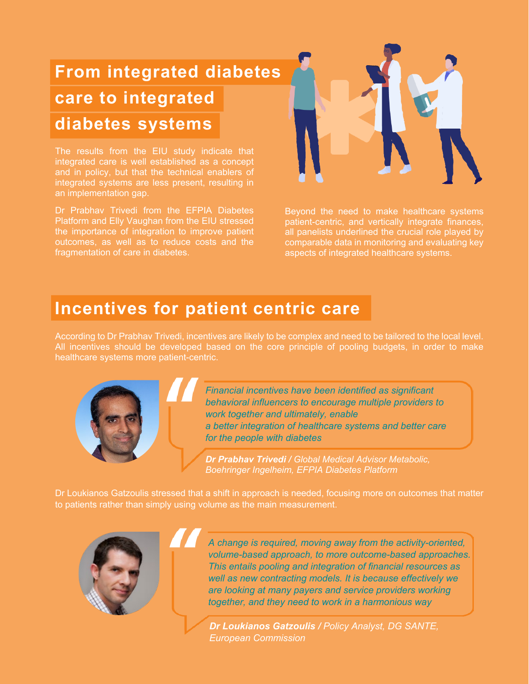# **From integrated diabetes care to integrated diabetes systems**

The results from the EIU study indicate that integrated care is well established as a concept and in policy, but that the technical enablers of integrated systems are less present, resulting in an implementation gap.

Dr Prabhav Trivedi from the EFPIA Diabetes Platform and Elly Vaughan from the EIU stressed the importance of integration to improve patient outcomes, as well as to reduce costs and the fragmentation of care in diabetes.



Beyond the need to make healthcare systems patient-centric, and vertically integrate finances, all panelists underlined the crucial role played by comparable data in monitoring and evaluating key aspects of integrated healthcare systems.

### **Incentives for patient centric care**

According to Dr Prabhav Trivedi, incentives are likely to be complex and need to be tailored to the local level. All incentives should be developed based on the core principle of pooling budgets, in order to make healthcare systems more patient-centric.



*Financial incentives have been identified as significant behavioral influencers to encourage multiple providers to work together and ultimately, enable a better integration of healthcare systems and better care for the people with diabetes*

*Dr Prabhav Trivedi / Global Medical Advisor Metabolic, Boehringer Ingelheim, EFPIA Diabetes Platform*

Dr Loukianos Gatzoulis stressed that a shift in approach is needed, focusing more on outcomes that matter to patients rather than simply using volume as the main measurement.



*A change is required, moving away from the activity-oriented, volume-based approach, to more outcome-based approaches. This entails pooling and integration of financial resources as well as new contracting models. It is because effectively we are looking at many payers and service providers working together, and they need to work in a harmonious way* 

*Dr Loukianos Gatzoulis / Policy Analyst, DG SANTE, European Commission*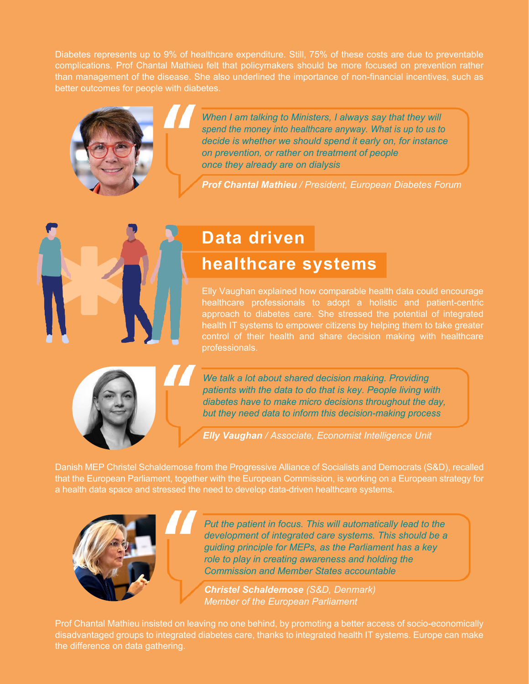Diabetes represents up to 9% of healthcare expenditure. Still, 75% of these costs are due to preventable complications. Prof Chantal Mathieu felt that policymakers should be more focused on prevention rather than management of the disease. She also underlined the importance of non-financial incentives, such as better outcomes for people with diabetes.



*When I am talking to Ministers, I always say that they will spend the money into healthcare anyway. What is up to us to decide is whether we should spend it early on, for instance on prevention, or rather on treatment of people once they already are on dialysis* 

*Prof Chantal Mathieu / President, European Diabetes Forum*

### **Data driven**

### **healthcare systems**

Elly Vaughan explained how comparable health data could encourage healthcare professionals to adopt a holistic and patient-centric approach to diabetes care. She stressed the potential of integrated health IT systems to empower citizens by helping them to take greater control of their health and share decision making with healthcare professionals.



*We talk a lot about shared decision making. Providing patients with the data to do that is key. People living with diabetes have to make micro decisions throughout the day, but they need data to inform this decision-making process*

*Elly Vaughan / Associate, Economist Intelligence Unit*

Danish MEP Christel Schaldemose from the Progressive Alliance of Socialists and Democrats (S&D), recalled that the European Parliament, together with the European Commission, is working on a European strategy for a health data space and stressed the need to develop data-driven healthcare systems.



*Put the patient in focus. This will automatically lead to the development of integrated care systems. This should be a guiding principle for MEPs, as the Parliament has a key role to play in creating awareness and holding the Commission and Member States accountable*

*Christel Schaldemose (S&D, Denmark) Member of the European Parliament* 

Prof Chantal Mathieu insisted on leaving no one behind, by promoting a better access of socio-economically disadvantaged groups to integrated diabetes care, thanks to integrated health IT systems. Europe can make the difference on data gathering.